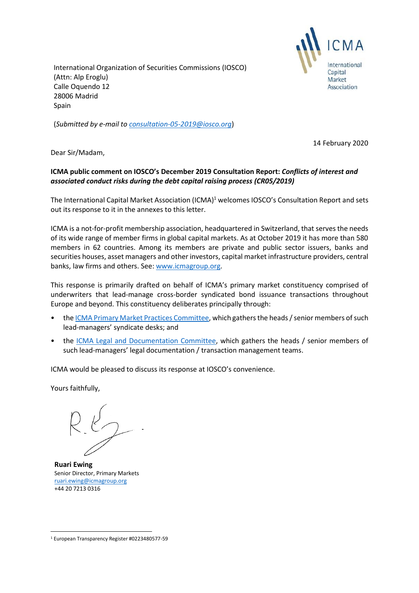International Organization of Securities Commissions (IOSCO) (Attn: Alp Eroglu) Calle Oquendo 12 28006 Madrid Spain



(*Submitted by e-mail to [consultation-05-2019@iosco.org](mailto:consultation-05-2019@iosco.org)*)

14 February 2020

Dear Sir/Madam,

## **ICMA public comment on IOSCO's December 2019 Consultation Report:** *Conflicts of interest and associated conduct risks during the debt capital raising process (CR05/2019)*

The International Capital Market Association (ICMA)<sup>1</sup> welcomes IOSCO's Consultation Report and sets out its response to it in the annexes to this letter.

ICMA is a not-for-profit membership association, headquartered in Switzerland, that serves the needs of its wide range of member firms in global capital markets. As at October 2019 it has more than 580 members in 62 countries. Among its members are private and public sector issuers, banks and securities houses, asset managers and other investors, capital market infrastructure providers, central banks, law firms and others. See[: www.icmagroup.org.](http://www.icmagroup.org/)

This response is primarily drafted on behalf of ICMA's primary market constituency comprised of underwriters that lead-manage cross-border syndicated bond issuance transactions throughout Europe and beyond. This constituency deliberates principally through:

- the [ICMA Primary Market Practices Committee,](https://www.icmagroup.org/Regulatory-Policy-and-Market-Practice/Primary-Markets/primary-market-committees/icma-primary-market-practices-committee/) which gathers the heads / senior members of such lead-managers' syndicate desks; and
- the [ICMA Legal and Documentation Committee,](https://www.icmagroup.org/Regulatory-Policy-and-Market-Practice/Primary-Markets/primary-market-committees/icma-legal-and-documentation-committee/) which gathers the heads / senior members of such lead-managers' legal documentation / transaction management teams.

ICMA would be pleased to discuss its response at IOSCO's convenience.

Yours faithfully,

**Ruari Ewing** Senior Director, Primary Markets [ruari.ewing@icmagroup.org](mailto:ruari.ewing@icmagroup.org)  +44 20 7213 0316

<sup>1</sup> European Transparency Register #0223480577-59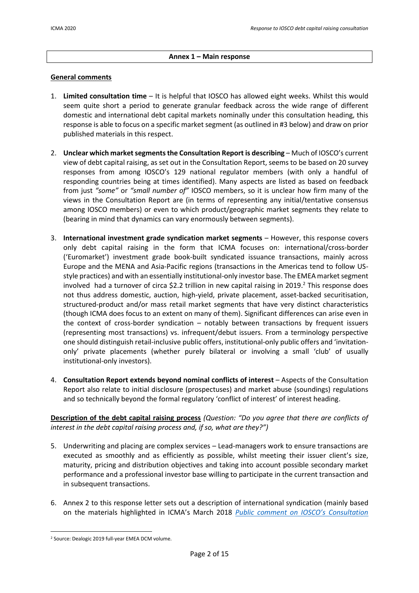## **Annex 1 – Main response**

#### **General comments**

- 1. **Limited consultation time** It is helpful that IOSCO has allowed eight weeks. Whilst this would seem quite short a period to generate granular feedback across the wide range of different domestic and international debt capital markets nominally under this consultation heading, this response is able to focus on a specific market segment (as outlined in #3 below) and draw on prior published materials in this respect.
- 2. **Unclear which marketsegmentsthe Consultation Report is describing**  Much of IOSCO's current view of debt capital raising, as set out in the Consultation Report, seems to be based on 20 survey responses from among IOSCO's 129 national regulator members (with only a handful of responding countries being at times identified). Many aspects are listed as based on feedback from just *"some"* or *"small number of"* IOSCO members, so it is unclear how firm many of the views in the Consultation Report are (in terms of representing any initial/tentative consensus among IOSCO members) or even to which product/geographic market segments they relate to (bearing in mind that dynamics can vary enormously between segments).
- 3. **International investment grade syndication market segments**  However, this response covers only debt capital raising in the form that ICMA focuses on: international/cross-border ('Euromarket') investment grade book-built syndicated issuance transactions, mainly across Europe and the MENA and Asia-Pacific regions (transactions in the Americas tend to follow USstyle practices) and with an essentially institutional-only investor base. The EMEA market segment involved had a turnover of circa \$2.2 trillion in new capital raising in 2019. <sup>2</sup> This response does not thus address domestic, auction, high-yield, private placement, asset-backed securitisation, structured-product and/or mass retail market segments that have very distinct characteristics (though ICMA does focus to an extent on many of them). Significant differences can arise even in the context of cross-border syndication – notably between transactions by frequent issuers (representing most transactions) vs. infrequent/debut issuers. From a terminology perspective one should distinguish retail-inclusive public offers, institutional-only public offers and 'invitationonly' private placements (whether purely bilateral or involving a small 'club' of usually institutional-only investors).
- 4. **Consultation Report extends beyond nominal conflicts of interest** Aspects of the Consultation Report also relate to initial disclosure (prospectuses) and market abuse (soundings) regulations and so technically beyond the formal regulatory 'conflict of interest' of interest heading.

**Description of the debt capital raising process** *(Question: "Do you agree that there are conflicts of interest in the debt capital raising process and, if so, what are they?")*

- 5. Underwriting and placing are complex services Lead-managers work to ensure transactions are executed as smoothly and as efficiently as possible, whilst meeting their issuer client's size, maturity, pricing and distribution objectives and taking into account possible secondary market performance and a professional investor base willing to participate in the current transaction and in subsequent transactions.
- 6. Annex 2 to this response letter sets out a description of international syndication (mainly based on the materials highlighted in ICMA's March 2018 *P[ublic comment on IOSCO's Consultation](https://www.icmagroup.org/assets/documents/Regulatory/Primary-Markets/NIPs---IOSCO-ECM-CP-2018---ICMA-Response-290318.pdf)*

<sup>2</sup> Source: Dealogic 2019 full-year EMEA DCM volume.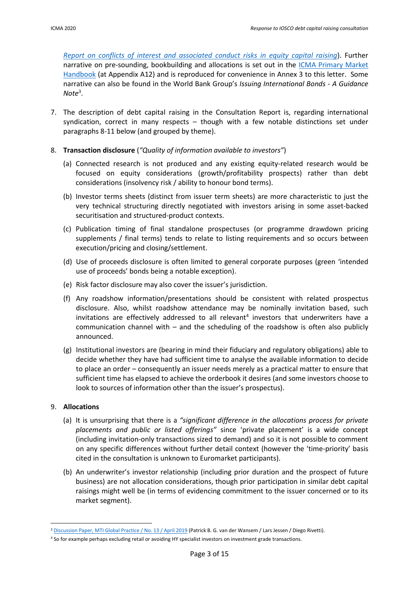*[Report on conflicts of interest and associated conduct risks in equity capital raising](https://www.icmagroup.org/assets/documents/Regulatory/Primary-Markets/NIPs---IOSCO-ECM-CP-2018---ICMA-Response-290318.pdf)*). Further narrative on pre-sounding, bookbuilding and allocations is set out in the ICMA Primary Market [Handbook](https://www.icmagroup.org/Regulatory-Policy-and-Market-Practice/Primary-Markets/ipma-handbook-home/) (at Appendix A12) and is reproduced for convenience in Annex 3 to this letter. Some narrative can also be found in the World Bank Group's *Issuing International Bonds - A Guidance Note*<sup>3</sup> .

- 7. The description of debt capital raising in the Consultation Report is, regarding international syndication, correct in many respects – though with a few notable distinctions set under paragraphs 8-11 below (and grouped by theme).
- 8. **Transaction disclosure** (*"Quality of information available to investors"*)
	- (a) Connected research is not produced and any existing equity-related research would be focused on equity considerations (growth/profitability prospects) rather than debt considerations (insolvency risk / ability to honour bond terms).
	- (b) Investor terms sheets (distinct from issuer term sheets) are more characteristic to just the very technical structuring directly negotiated with investors arising in some asset-backed securitisation and structured-product contexts.
	- (c) Publication timing of final standalone prospectuses (or programme drawdown pricing supplements / final terms) tends to relate to listing requirements and so occurs between execution/pricing and closing/settlement.
	- (d) Use of proceeds disclosure is often limited to general corporate purposes (green 'intended use of proceeds' bonds being a notable exception).
	- (e) Risk factor disclosure may also cover the issuer's jurisdiction.
	- (f) Any roadshow information/presentations should be consistent with related prospectus disclosure. Also, whilst roadshow attendance may be nominally invitation based, such invitations are effectively addressed to all relevant<sup>4</sup> investors that underwriters have a communication channel with – and the scheduling of the roadshow is often also publicly announced.
	- (g) Institutional investors are (bearing in mind their fiduciary and regulatory obligations) able to decide whether they have had sufficient time to analyse the available information to decide to place an order – consequently an issuer needs merely as a practical matter to ensure that sufficient time has elapsed to achieve the orderbook it desires (and some investors choose to look to sources of information other than the issuer's prospectus).

# 9. **Allocations**

- (a) It is unsurprising that there is a *"significant difference in the allocations process for private placements and public or listed offerings"* since 'private placement' is a wide concept (including invitation-only transactions sized to demand) and so it is not possible to comment on any specific differences without further detail context (however the 'time-priority' basis cited in the consultation is unknown to Euromarket participants).
- (b) An underwriter's investor relationship (including prior duration and the prospect of future business) are not allocation considerations, though prior participation in similar debt capital raisings might well be (in terms of evidencing commitment to the issuer concerned or to its market segment).

<sup>&</sup>lt;sup>3</sup> [Discussion Paper, MTI Global Practice / No. 13 / April 2019](http://documents.worldbank.org/curated/en/491301554821864140/pdf/Issuing-International-Bonds-A-Guidance-Note.pdf) (Patrick B. G. van der Wansem / Lars Jessen / Diego Rivetti).

<sup>4</sup> So for example perhaps excluding retail or avoiding HY specialist investors on investment grade transactions.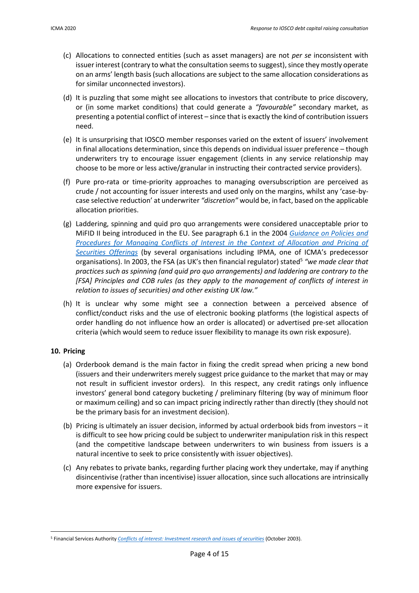- (c) Allocations to connected entities (such as asset managers) are not *per se* inconsistent with issuer interest (contrary to what the consultation seems to suggest), since they mostly operate on an arms' length basis (such allocations are subject to the same allocation considerations as for similar unconnected investors).
- (d) It is puzzling that some might see allocations to investors that contribute to price discovery, or (in some market conditions) that could generate a *"favourable"* secondary market, as presenting a potential conflict of interest – since that is exactly the kind of contribution issuers need.
- (e) It is unsurprising that IOSCO member responses varied on the extent of issuers' involvement in final allocations determination, since this depends on individual issuer preference – though underwriters try to encourage issuer engagement (clients in any service relationship may choose to be more or less active/granular in instructing their contracted service providers).
- (f) Pure pro-rata or time-priority approaches to managing oversubscription are perceived as crude / not accounting for issuer interests and used only on the margins, whilst any 'case-bycase selective reduction' at underwriter *"discretion"* would be, in fact, based on the applicable allocation priorities.
- (g) Laddering, spinning and quid pro quo arrangements were considered unacceptable prior to MiFID II being introduced in the EU. See paragraph 6.1 in the 2004 *[Guidance on Policies and](https://www.icmagroup.org/assets/documents/Guidance%20Paper%2029%20April%202004.PDF)*  Procedures for Managing Conflicts of Interest in the Context of Allocation and Pricing of *[Securities Offerings](https://www.icmagroup.org/assets/documents/Guidance%20Paper%2029%20April%202004.PDF)* (by several organisations including IPMA, one of ICMA's predecessor organisations). In 2003, the FSA (as UK's then financial regulator) stated<sup>5</sup> "we made clear that *practices such as spinning (and quid pro quo arrangements) and laddering are contrary to the [FSA] Principles and COB rules (as they apply to the management of conflicts of interest in relation to issues of securities) and other existing UK law."*
- (h) It is unclear why some might see a connection between a perceived absence of conflict/conduct risks and the use of electronic booking platforms (the logistical aspects of order handling do not influence how an order is allocated) or advertised pre-set allocation criteria (which would seem to reduce issuer flexibility to manage its own risk exposure).

# **10. Pricing**

- (a) Orderbook demand is the main factor in fixing the credit spread when pricing a new bond (issuers and their underwriters merely suggest price guidance to the market that may or may not result in sufficient investor orders). In this respect, any credit ratings only influence investors' general bond category bucketing / preliminary filtering (by way of minimum floor or maximum ceiling) and so can impact pricing indirectly rather than directly (they should not be the primary basis for an investment decision).
- (b) Pricing is ultimately an issuer decision, informed by actual orderbook bids from investors it is difficult to see how pricing could be subject to underwriter manipulation risk in this respect (and the competitive landscape between underwriters to win business from issuers is a natural incentive to seek to price consistently with issuer objectives).
- (c) Any rebates to private banks, regarding further placing work they undertake, may if anything disincentivise (rather than incentivise) issuer allocation, since such allocations are intrinsically more expensive for issuers.

<sup>5</sup> Financial Services Authority *[Conflicts of interest: Investment research and issues of securities](https://webarchive.nationalarchives.gov.uk/20130201210916/http:/www.fsa.gov.uk/pubs/cp/cp205.pdf)* (October 2003).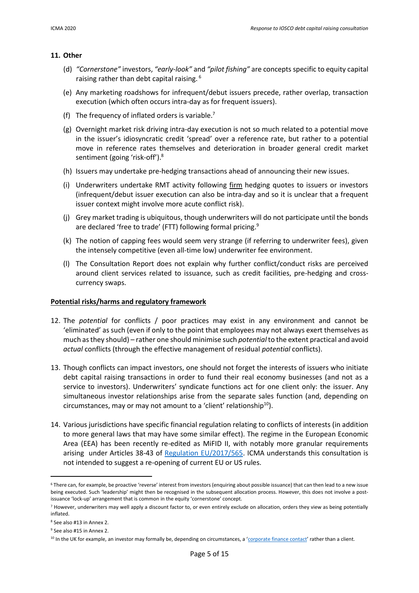#### **11. Other**

- (d) *"Cornerstone"* investors, *"early-look"* and *"pilot fishing"* are concepts specific to equity capital raising rather than debt capital raising.<sup>6</sup>
- (e) Any marketing roadshows for infrequent/debut issuers precede, rather overlap, transaction execution (which often occurs intra-day as for frequent issuers).
- (f) The frequency of inflated orders is variable.<sup>7</sup>
- (g) Overnight market risk driving intra-day execution is not so much related to a potential move in the issuer's idiosyncratic credit 'spread' over a reference rate, but rather to a potential move in reference rates themselves and deterioration in broader general credit market sentiment (going 'risk-off').<sup>8</sup>
- (h) Issuers may undertake pre-hedging transactions ahead of announcing their new issues.
- (i) Underwriters undertake RMT activity following firm hedging quotes to issuers or investors (infrequent/debut issuer execution can also be intra-day and so it is unclear that a frequent issuer context might involve more acute conflict risk).
- (j) Grey market trading is ubiquitous, though underwriters will do not participate until the bonds are declared 'free to trade' (FTT) following formal pricing.<sup>9</sup>
- (k) The notion of capping fees would seem very strange (if referring to underwriter fees), given the intensely competitive (even all-time low) underwriter fee environment.
- (l) The Consultation Report does not explain why further conflict/conduct risks are perceived around client services related to issuance, such as credit facilities, pre-hedging and crosscurrency swaps.

#### **Potential risks/harms and regulatory framework**

- 12. The *potential* for conflicts / poor practices may exist in any environment and cannot be 'eliminated' as such (even if only to the point that employees may not always exert themselves as much as they should) – rather one should minimise such *potential* to the extent practical and avoid *actual* conflicts (through the effective management of residual *potential* conflicts).
- 13. Though conflicts can impact investors, one should not forget the interests of issuers who initiate debt capital raising transactions in order to fund their real economy businesses (and not as a service to investors). Underwriters' syndicate functions act for one client only: the issuer. Any simultaneous investor relationships arise from the separate sales function (and, depending on circumstances, may or may not amount to a 'client' relationship $10$ ).
- 14. Various jurisdictions have specific financial regulation relating to conflicts of interests (in addition to more general laws that may have some similar effect). The regime in the European Economic Area (EEA) has been recently re-edited as MiFID II, with notably more granular requirements arising under Articles 38-43 of [Regulation EU/2017/565.](https://eur-lex.europa.eu/legal-content/EN/TXT/?uri=CELEX%3A32017R0565) ICMA understands this consultation is not intended to suggest a re-opening of current EU or US rules.

<sup>&</sup>lt;sup>6</sup> There can, for example, be proactive 'reverse' interest from investors (enquiring about possible issuance) that can then lead to a new issue being executed. Such 'leadership' might then be recognised in the subsequent allocation process. However, this does not involve a postissuance 'lock-up' arrangement that is common in the equity 'cornerstone' concept.

 $<sup>7</sup>$  However, underwriters may well apply a discount factor to, or even entirely exclude on allocation, orders they view as being potentially</sup> inflated.

<sup>8</sup> See also #13 in Annex 2.

<sup>9</sup> See also #15 in Annex 2.

<sup>10</sup> In the UK for example, an investor may formally be, depending on circumstances, a '[corporate finance contact](https://www.handbook.fca.org.uk/handbook/glossary/G232.html)' rather than a client.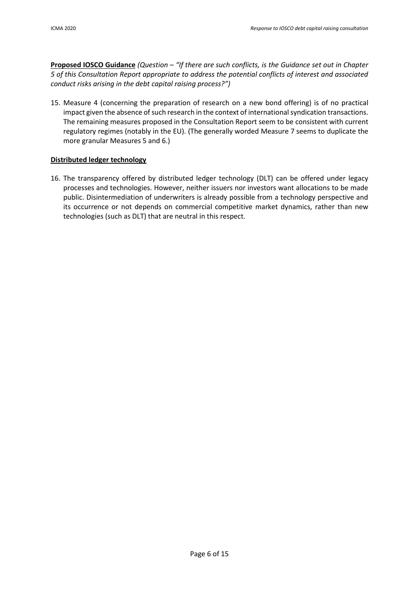**Proposed IOSCO Guidance** *(Question – "If there are such conflicts, is the Guidance set out in Chapter 5 of this Consultation Report appropriate to address the potential conflicts of interest and associated conduct risks arising in the debt capital raising process?")*

15. Measure 4 (concerning the preparation of research on a new bond offering) is of no practical impact given the absence of such research in the context of international syndication transactions. The remaining measures proposed in the Consultation Report seem to be consistent with current regulatory regimes (notably in the EU). (The generally worded Measure 7 seems to duplicate the more granular Measures 5 and 6.)

# **Distributed ledger technology**

16. The transparency offered by distributed ledger technology (DLT) can be offered under legacy processes and technologies. However, neither issuers nor investors want allocations to be made public. Disintermediation of underwriters is already possible from a technology perspective and its occurrence or not depends on commercial competitive market dynamics, rather than new technologies (such as DLT) that are neutral in this respect.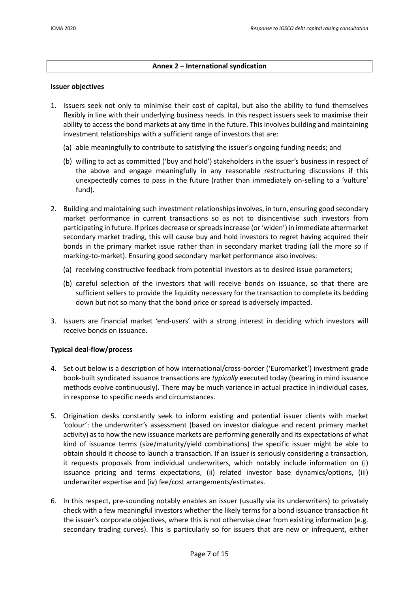## **Annex 2 – International syndication**

#### **Issuer objectives**

- 1. Issuers seek not only to minimise their cost of capital, but also the ability to fund themselves flexibly in line with their underlying business needs. In this respect issuers seek to maximise their ability to access the bond markets at any time in the future. This involves building and maintaining investment relationships with a sufficient range of investors that are:
	- (a) able meaningfully to contribute to satisfying the issuer's ongoing funding needs; and
	- (b) willing to act as committed ('buy and hold') stakeholders in the issuer's business in respect of the above and engage meaningfully in any reasonable restructuring discussions if this unexpectedly comes to pass in the future (rather than immediately on-selling to a 'vulture' fund).
- 2. Building and maintaining such investment relationships involves, in turn, ensuring good secondary market performance in current transactions so as not to disincentivise such investors from participating in future. If prices decrease or spreads increase (or 'widen') in immediate aftermarket secondary market trading, this will cause buy and hold investors to regret having acquired their bonds in the primary market issue rather than in secondary market trading (all the more so if marking-to-market). Ensuring good secondary market performance also involves:
	- (a) receiving constructive feedback from potential investors as to desired issue parameters;
	- (b) careful selection of the investors that will receive bonds on issuance, so that there are sufficient sellers to provide the liquidity necessary for the transaction to complete its bedding down but not so many that the bond price or spread is adversely impacted.
- 3. Issuers are financial market 'end-users' with a strong interest in deciding which investors will receive bonds on issuance.

#### **Typical deal-flow/process**

- 4. Set out below is a description of how international/cross-border ('Euromarket') investment grade book-built syndicated issuance transactions are *typically* executed today (bearing in mind issuance methods evolve continuously). There may be much variance in actual practice in individual cases, in response to specific needs and circumstances.
- 5. Origination desks constantly seek to inform existing and potential issuer clients with market 'colour': the underwriter's assessment (based on investor dialogue and recent primary market activity) as to how the new issuance markets are performing generally and its expectations of what kind of issuance terms (size/maturity/yield combinations) the specific issuer might be able to obtain should it choose to launch a transaction. If an issuer is seriously considering a transaction, it requests proposals from individual underwriters, which notably include information on (i) issuance pricing and terms expectations, (ii) related investor base dynamics/options, (iii) underwriter expertise and (iv) fee/cost arrangements/estimates.
- 6. In this respect, pre-sounding notably enables an issuer (usually via its underwriters) to privately check with a few meaningful investors whether the likely terms for a bond issuance transaction fit the issuer's corporate objectives, where this is not otherwise clear from existing information (e.g. secondary trading curves). This is particularly so for issuers that are new or infrequent, either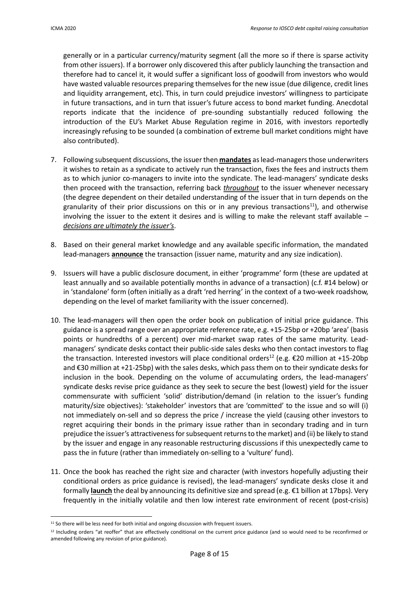generally or in a particular currency/maturity segment (all the more so if there is sparse activity from other issuers). If a borrower only discovered this after publicly launching the transaction and therefore had to cancel it, it would suffer a significant loss of goodwill from investors who would have wasted valuable resources preparing themselves for the new issue (due diligence, credit lines and liquidity arrangement, etc). This, in turn could prejudice investors' willingness to participate in future transactions, and in turn that issuer's future access to bond market funding. Anecdotal reports indicate that the incidence of pre-sounding substantially reduced following the introduction of the EU's Market Abuse Regulation regime in 2016, with investors reportedly increasingly refusing to be sounded (a combination of extreme bull market conditions might have also contributed).

- 7. Following subsequent discussions, the issuer then **mandates** as lead-managers those underwriters it wishes to retain as a syndicate to actively run the transaction, fixes the fees and instructs them as to which junior co-managers to invite into the syndicate. The lead-managers' syndicate desks then proceed with the transaction, referring back *throughout* to the issuer whenever necessary (the degree dependent on their detailed understanding of the issuer that in turn depends on the granularity of their prior discussions on this or in any previous transactions<sup>11</sup>), and otherwise involving the issuer to the extent it desires and is willing to make the relevant staff available – *decisions are ultimately the issuer's*.
- 8. Based on their general market knowledge and any available specific information, the mandated lead-managers **announce** the transaction (issuer name, maturity and any size indication).
- 9. Issuers will have a public disclosure document, in either 'programme' form (these are updated at least annually and so available potentially months in advance of a transaction) (c.f. #14 below) or in 'standalone' form (often initially as a draft 'red herring' in the context of a two-week roadshow, depending on the level of market familiarity with the issuer concerned).
- 10. The lead-managers will then open the order book on publication of initial price guidance. This guidance is a spread range over an appropriate reference rate, e.g. +15-25bp or +20bp 'area' (basis points or hundredths of a percent) over mid-market swap rates of the same maturity. Leadmanagers' syndicate desks contact their public-side sales desks who then contact investors to flag the transaction. Interested investors will place conditional orders<sup>12</sup> (e.g.  $\epsilon$ 20 million at +15-20bp and €30 million at +21-25bp) with the sales desks, which pass them on to their syndicate desks for inclusion in the book. Depending on the volume of accumulating orders, the lead-managers' syndicate desks revise price guidance as they seek to secure the best (lowest) yield for the issuer commensurate with sufficient 'solid' distribution/demand (in relation to the issuer's funding maturity/size objectives): 'stakeholder' investors that are 'committed' to the issue and so will (i) not immediately on-sell and so depress the price / increase the yield (causing other investors to regret acquiring their bonds in the primary issue rather than in secondary trading and in turn prejudice the issuer's attractiveness for subsequent returns to the market) and (ii) be likely to stand by the issuer and engage in any reasonable restructuring discussions if this unexpectedly came to pass the in future (rather than immediately on-selling to a 'vulture' fund).
- 11. Once the book has reached the right size and character (with investors hopefully adjusting their conditional orders as price guidance is revised), the lead-managers' syndicate desks close it and formally **launch** the deal by announcing its definitive size and spread (e.g. €1 billion at 17bps). Very frequently in the initially volatile and then low interest rate environment of recent (post-crisis)

<sup>&</sup>lt;sup>11</sup> So there will be less need for both initial and ongoing discussion with frequent issuers.

<sup>&</sup>lt;sup>12</sup> Including orders "at reoffer" that are effectively conditional on the current price guidance (and so would need to be reconfirmed or amended following any revision of price guidance).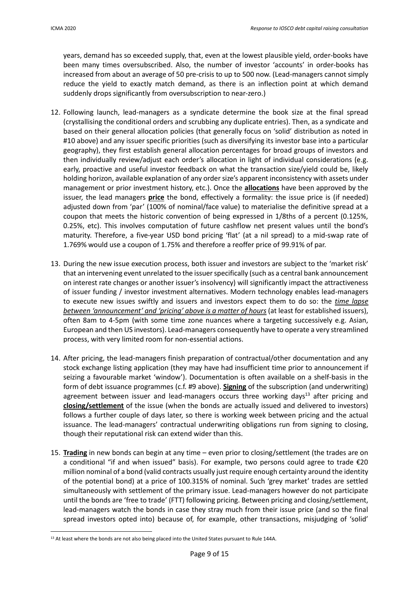years, demand has so exceeded supply, that, even at the lowest plausible yield, order-books have been many times oversubscribed. Also, the number of investor 'accounts' in order-books has increased from about an average of 50 pre-crisis to up to 500 now. (Lead-managers cannot simply reduce the yield to exactly match demand, as there is an inflection point at which demand suddenly drops significantly from oversubscription to near-zero.)

- 12. Following launch, lead-managers as a syndicate determine the book size at the final spread (crystallising the conditional orders and scrubbing any duplicate entries). Then, as a syndicate and based on their general allocation policies (that generally focus on 'solid' distribution as noted in #10 above) and any issuer specific priorities (such as diversifying its investor base into a particular geography), they first establish general allocation percentages for broad groups of investors and then individually review/adjust each order's allocation in light of individual considerations (e.g. early, proactive and useful investor feedback on what the transaction size/yield could be, likely holding horizon, available explanation of any order size's apparent inconsistency with assets under management or prior investment history, etc.). Once the **allocations** have been approved by the issuer, the lead managers **price** the bond, effectively a formality: the issue price is (if needed) adjusted down from 'par' (100% of nominal/face value) to materialise the definitive spread at a coupon that meets the historic convention of being expressed in 1/8ths of a percent (0.125%, 0.25%, etc). This involves computation of future cashflow net present values until the bond's maturity. Therefore, a five-year USD bond pricing 'flat' (at a nil spread) to a mid-swap rate of 1.769% would use a coupon of 1.75% and therefore a reoffer price of 99.91% of par.
- 13. During the new issue execution process, both issuer and investors are subject to the 'market risk' that an intervening event unrelated to the issuer specifically (such as a central bank announcement on interest rate changes or another issuer's insolvency) will significantly impact the attractiveness of issuer funding / investor investment alternatives. Modern technology enables lead-managers to execute new issues swiftly and issuers and investors expect them to do so: the *time lapse between 'announcement' and 'pricing' above is a matter of hours* (at least for established issuers), often 8am to 4-5pm (with some time zone nuances where a targeting successively e.g. Asian, European and then US investors). Lead-managers consequently have to operate a very streamlined process, with very limited room for non-essential actions.
- 14. After pricing, the lead-managers finish preparation of contractual/other documentation and any stock exchange listing application (they may have had insufficient time prior to announcement if seizing a favourable market 'window'). Documentation is often available on a shelf-basis in the form of debt issuance programmes (c.f. #9 above). **Signing** of the subscription (and underwriting) agreement between issuer and lead-managers occurs three working days<sup>13</sup> after pricing and **closing/settlement** of the issue (when the bonds are actually issued and delivered to investors) follows a further couple of days later, so there is working week between pricing and the actual issuance. The lead-managers' contractual underwriting obligations run from signing to closing, though their reputational risk can extend wider than this.
- 15. **Trading** in new bonds can begin at any time even prior to closing/settlement (the trades are on a conditional "if and when issued" basis). For example, two persons could agree to trade €20 million nominal of a bond (valid contracts usually just require enough certainty around the identity of the potential bond) at a price of 100.315% of nominal. Such 'grey market' trades are settled simultaneously with settlement of the primary issue. Lead-managers however do not participate until the bonds are 'free to trade' (FTT) following pricing. Between pricing and closing/settlement, lead-managers watch the bonds in case they stray much from their issue price (and so the final spread investors opted into) because of, for example, other transactions, misjudging of 'solid'

<sup>&</sup>lt;sup>13</sup> At least where the bonds are not also being placed into the United States pursuant to Rule 144A.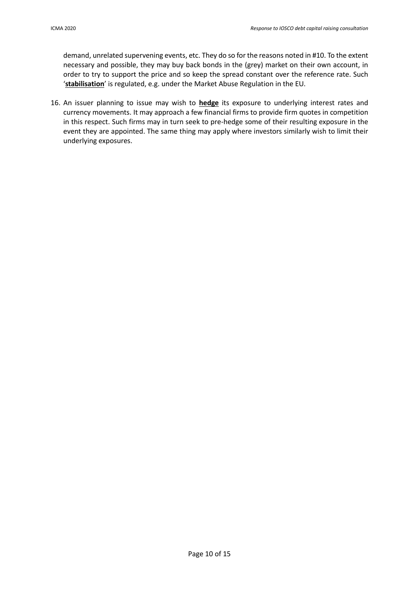demand, unrelated supervening events, etc. They do so for the reasons noted in #10. To the extent necessary and possible, they may buy back bonds in the (grey) market on their own account, in order to try to support the price and so keep the spread constant over the reference rate. Such '**stabilisation**' is regulated, e.g. under the Market Abuse Regulation in the EU.

16. An issuer planning to issue may wish to **hedge** its exposure to underlying interest rates and currency movements. It may approach a few financial firms to provide firm quotes in competition in this respect. Such firms may in turn seek to pre-hedge some of their resulting exposure in the event they are appointed. The same thing may apply where investors similarly wish to limit their underlying exposures.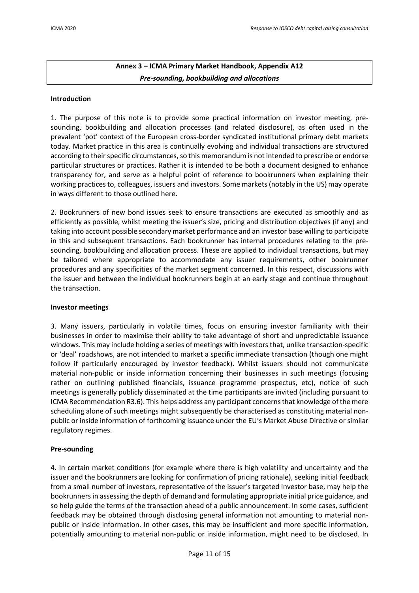# **Annex 3 – ICMA Primary Market Handbook, Appendix A12** *Pre-sounding, bookbuilding and allocations*

#### **Introduction**

1. The purpose of this note is to provide some practical information on investor meeting, presounding, bookbuilding and allocation processes (and related disclosure), as often used in the prevalent 'pot' context of the European cross-border syndicated institutional primary debt markets today. Market practice in this area is continually evolving and individual transactions are structured according to their specific circumstances, so this memorandum is not intended to prescribe or endorse particular structures or practices. Rather it is intended to be both a document designed to enhance transparency for, and serve as a helpful point of reference to bookrunners when explaining their working practices to, colleagues, issuers and investors. Some markets (notably in the US) may operate in ways different to those outlined here.

2. Bookrunners of new bond issues seek to ensure transactions are executed as smoothly and as efficiently as possible, whilst meeting the issuer's size, pricing and distribution objectives (if any) and taking into account possible secondary market performance and an investor base willing to participate in this and subsequent transactions. Each bookrunner has internal procedures relating to the presounding, bookbuilding and allocation process. These are applied to individual transactions, but may be tailored where appropriate to accommodate any issuer requirements, other bookrunner procedures and any specificities of the market segment concerned. In this respect, discussions with the issuer and between the individual bookrunners begin at an early stage and continue throughout the transaction.

#### **Investor meetings**

3. Many issuers, particularly in volatile times, focus on ensuring investor familiarity with their businesses in order to maximise their ability to take advantage of short and unpredictable issuance windows. This may include holding a series of meetings with investors that, unlike transaction-specific or 'deal' roadshows, are not intended to market a specific immediate transaction (though one might follow if particularly encouraged by investor feedback). Whilst issuers should not communicate material non-public or inside information concerning their businesses in such meetings (focusing rather on outlining published financials, issuance programme prospectus, etc), notice of such meetings is generally publicly disseminated at the time participants are invited (including pursuant to ICMA Recommendation R3.6). This helps address any participant concerns that knowledge of the mere scheduling alone of such meetings might subsequently be characterised as constituting material nonpublic or inside information of forthcoming issuance under the EU's Market Abuse Directive or similar regulatory regimes.

#### **Pre-sounding**

4. In certain market conditions (for example where there is high volatility and uncertainty and the issuer and the bookrunners are looking for confirmation of pricing rationale), seeking initial feedback from a small number of investors, representative of the issuer's targeted investor base, may help the bookrunners in assessing the depth of demand and formulating appropriate initial price guidance, and so help guide the terms of the transaction ahead of a public announcement. In some cases, sufficient feedback may be obtained through disclosing general information not amounting to material nonpublic or inside information. In other cases, this may be insufficient and more specific information, potentially amounting to material non-public or inside information, might need to be disclosed. In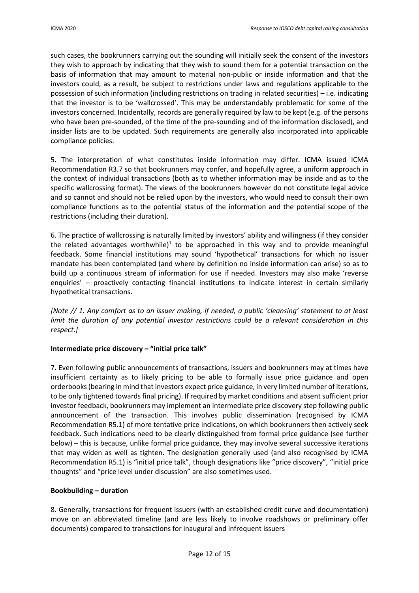such cases, the bookrunners carrying out the sounding will initially seek the consent of the investors they wish to approach by indicating that they wish to sound them for a potential transaction on the basis of information that may amount to material non-public or inside information and that the investors could, as a result, be subject to restrictions under laws and regulations applicable to the possession of such information (including restrictions on trading in related securities) – i.e. indicating that the investor is to be 'wallcrossed'. This may be understandably problematic for some of the investors concerned. Incidentally, records are generally required by law to be kept (e.g. of the persons who have been pre-sounded, of the time of the pre-sounding and of the information disclosed), and insider lists are to be updated. Such requirements are generally also incorporated into applicable compliance policies.

5. The interpretation of what constitutes inside information may differ. ICMA issued ICMA Recommendation R3.7 so that bookrunners may confer, and hopefully agree, a uniform approach in the context of individual transactions (both as to whether information may be inside and as to the specific wallcrossing format). The views of the bookrunners however do not constitute legal advice and so cannot and should not be relied upon by the investors, who would need to consult their own compliance functions as to the potential status of the information and the potential scope of the restrictions (including their duration).

6. The practice of wallcrossing is naturally limited by investors' ability and willingness (if they consider the related advantages worthwhile)<sup>1</sup> to be approached in this way and to provide meaningful feedback. Some financial institutions may sound 'hypothetical' transactions for which no issuer mandate has been contemplated (and where by definition no inside information can arise) so as to build up a continuous stream of information for use if needed. Investors may also make 'reverse enquiries' – proactively contacting financial institutions to indicate interest in certain similarly hypothetical transactions.

*[Note // 1. Any comfort as to an issuer making, if needed, a public 'cleansing' statement to at least limit the duration of any potential investor restrictions could be a relevant consideration in this respect.]*

# **Intermediate price discovery – "initial price talk"**

7. Even following public announcements of transactions, issuers and bookrunners may at times have insufficient certainty as to likely pricing to be able to formally issue price guidance and open orderbooks (bearing in mind that investors expect price guidance, in very limited number of iterations, to be only tightened towards final pricing). If required by market conditions and absent sufficient prior investor feedback, bookrunners may implement an intermediate price discovery step following public announcement of the transaction. This involves public dissemination (recognised by ICMA Recommendation R5.1) of more tentative price indications, on which bookrunners then actively seek feedback. Such indications need to be clearly distinguished from formal price guidance (see further below) – this is because, unlike formal price guidance, they may involve several successive iterations that may widen as well as tighten. The designation generally used (and also recognised by ICMA Recommendation R5.1) is "initial price talk", though designations like "price discovery", "initial price thoughts" and "price level under discussion" are also sometimes used.

# **Bookbuilding – duration**

8. Generally, transactions for frequent issuers (with an established credit curve and documentation) move on an abbreviated timeline (and are less likely to involve roadshows or preliminary offer documents) compared to transactions for inaugural and infrequent issuers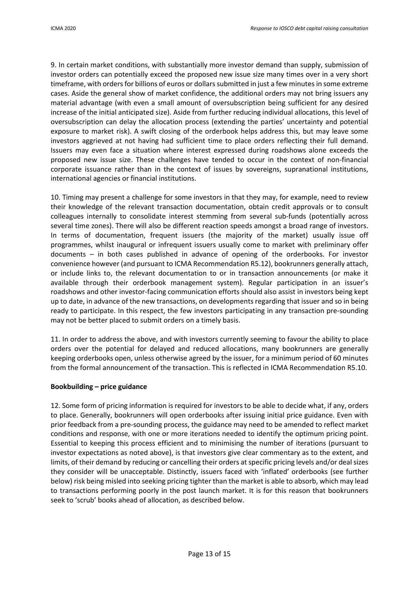9. In certain market conditions, with substantially more investor demand than supply, submission of investor orders can potentially exceed the proposed new issue size many times over in a very short timeframe, with orders for billions of euros or dollars submitted in just a few minutes in some extreme cases. Aside the general show of market confidence, the additional orders may not bring issuers any material advantage (with even a small amount of oversubscription being sufficient for any desired increase of the initial anticipated size). Aside from further reducing individual allocations, this level of oversubscription can delay the allocation process (extending the parties' uncertainty and potential exposure to market risk). A swift closing of the orderbook helps address this, but may leave some investors aggrieved at not having had sufficient time to place orders reflecting their full demand. Issuers may even face a situation where interest expressed during roadshows alone exceeds the proposed new issue size. These challenges have tended to occur in the context of non-financial corporate issuance rather than in the context of issues by sovereigns, supranational institutions, international agencies or financial institutions.

10. Timing may present a challenge for some investors in that they may, for example, need to review their knowledge of the relevant transaction documentation, obtain credit approvals or to consult colleagues internally to consolidate interest stemming from several sub-funds (potentially across several time zones). There will also be different reaction speeds amongst a broad range of investors. In terms of documentation, frequent issuers (the majority of the market) usually issue off programmes, whilst inaugural or infrequent issuers usually come to market with preliminary offer documents – in both cases published in advance of opening of the orderbooks. For investor convenience however (and pursuant to ICMA Recommendation R5.12), bookrunners generally attach, or include links to, the relevant documentation to or in transaction announcements (or make it available through their orderbook management system). Regular participation in an issuer's roadshows and other investor-facing communication efforts should also assist in investors being kept up to date, in advance of the new transactions, on developments regarding that issuer and so in being ready to participate. In this respect, the few investors participating in any transaction pre-sounding may not be better placed to submit orders on a timely basis.

11. In order to address the above, and with investors currently seeming to favour the ability to place orders over the potential for delayed and reduced allocations, many bookrunners are generally keeping orderbooks open, unless otherwise agreed by the issuer, for a minimum period of 60 minutes from the formal announcement of the transaction. This is reflected in ICMA Recommendation R5.10.

#### **Bookbuilding – price guidance**

12. Some form of pricing information is required for investors to be able to decide what, if any, orders to place. Generally, bookrunners will open orderbooks after issuing initial price guidance. Even with prior feedback from a pre-sounding process, the guidance may need to be amended to reflect market conditions and response, with one or more iterations needed to identify the optimum pricing point. Essential to keeping this process efficient and to minimising the number of iterations (pursuant to investor expectations as noted above), is that investors give clear commentary as to the extent, and limits, of their demand by reducing or cancelling their orders at specific pricing levels and/or deal sizes they consider will be unacceptable. Distinctly, issuers faced with 'inflated' orderbooks (see further below) risk being misled into seeking pricing tighter than the market is able to absorb, which may lead to transactions performing poorly in the post launch market. It is for this reason that bookrunners seek to 'scrub' books ahead of allocation, as described below.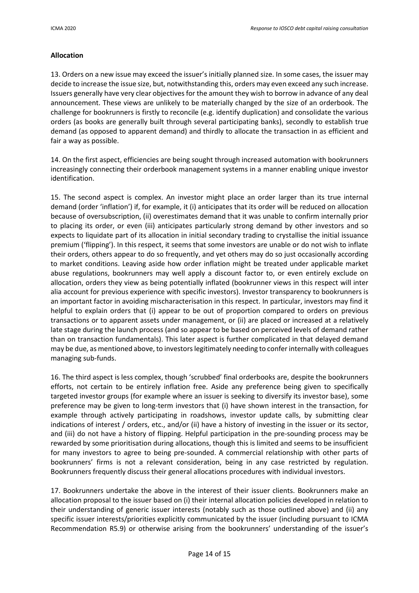## **Allocation**

13. Orders on a new issue may exceed the issuer's initially planned size. In some cases, the issuer may decide to increase the issue size, but, notwithstanding this, orders may even exceed any such increase. Issuers generally have very clear objectives for the amount they wish to borrow in advance of any deal announcement. These views are unlikely to be materially changed by the size of an orderbook. The challenge for bookrunners is firstly to reconcile (e.g. identify duplication) and consolidate the various orders (as books are generally built through several participating banks), secondly to establish true demand (as opposed to apparent demand) and thirdly to allocate the transaction in as efficient and fair a way as possible.

14. On the first aspect, efficiencies are being sought through increased automation with bookrunners increasingly connecting their orderbook management systems in a manner enabling unique investor identification.

15. The second aspect is complex. An investor might place an order larger than its true internal demand (order 'inflation') if, for example, it (i) anticipates that its order will be reduced on allocation because of oversubscription, (ii) overestimates demand that it was unable to confirm internally prior to placing its order, or even (iii) anticipates particularly strong demand by other investors and so expects to liquidate part of its allocation in initial secondary trading to crystallise the initial issuance premium ('flipping'). In this respect, it seems that some investors are unable or do not wish to inflate their orders, others appear to do so frequently, and yet others may do so just occasionally according to market conditions. Leaving aside how order inflation might be treated under applicable market abuse regulations, bookrunners may well apply a discount factor to, or even entirely exclude on allocation, orders they view as being potentially inflated (bookrunner views in this respect will inter alia account for previous experience with specific investors). Investor transparency to bookrunners is an important factor in avoiding mischaracterisation in this respect. In particular, investors may find it helpful to explain orders that (i) appear to be out of proportion compared to orders on previous transactions or to apparent assets under management, or (ii) are placed or increased at a relatively late stage during the launch process (and so appear to be based on perceived levels of demand rather than on transaction fundamentals). This later aspect is further complicated in that delayed demand may be due, as mentioned above, to investors legitimately needing to confer internally with colleagues managing sub-funds.

16. The third aspect is less complex, though 'scrubbed' final orderbooks are, despite the bookrunners efforts, not certain to be entirely inflation free. Aside any preference being given to specifically targeted investor groups (for example where an issuer is seeking to diversify its investor base), some preference may be given to long-term investors that (i) have shown interest in the transaction, for example through actively participating in roadshows, investor update calls, by submitting clear indications of interest / orders, etc., and/or (ii) have a history of investing in the issuer or its sector, and (iii) do not have a history of flipping. Helpful participation in the pre-sounding process may be rewarded by some prioritisation during allocations, though this is limited and seems to be insufficient for many investors to agree to being pre-sounded. A commercial relationship with other parts of bookrunners' firms is not a relevant consideration, being in any case restricted by regulation. Bookrunners frequently discuss their general allocations procedures with individual investors.

17. Bookrunners undertake the above in the interest of their issuer clients. Bookrunners make an allocation proposal to the issuer based on (i) their internal allocation policies developed in relation to their understanding of generic issuer interests (notably such as those outlined above) and (ii) any specific issuer interests/priorities explicitly communicated by the issuer (including pursuant to ICMA Recommendation R5.9) or otherwise arising from the bookrunners' understanding of the issuer's